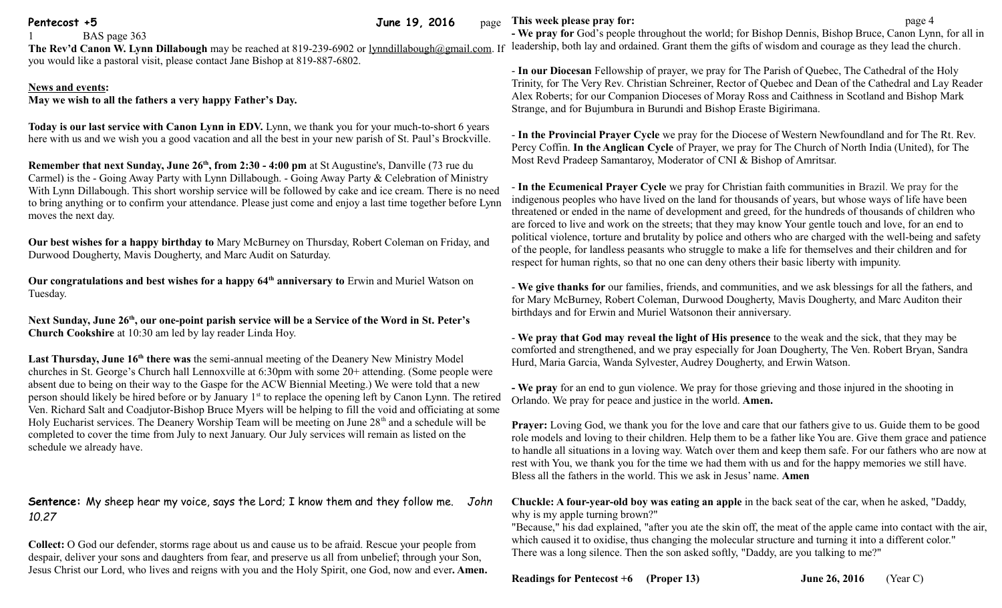#### **Pentecost +5** June 19, 2016 page

BAS page 363

The Rev'd Canon W. Lynn Dillabough may be reached at 819-239-6902 or [lynndillabough@gmail.com.](mailto:lynndillabough@gmail.com) If leadership, both lay and ordained. Grant them the gifts of wisdom and courage as they lead the church. you would like a pastoral visit, please contact Jane Bishop at 819-887-6802.

## **News and events:**

**May we wish to all the fathers a very happy Father's Day.**

**Today is our last service with Canon Lynn in EDV.** Lynn, we thank you for your much-to-short 6 years here with us and we wish you a good vacation and all the best in your new parish of St. Paul's Brockville.

**Remember that next Sunday, June 26th, from 2:30 - 4:00 pm** at St Augustine's, Danville (73 rue du Carmel) is the - Going Away Party with Lynn Dillabough. - Going Away Party & Celebration of Ministry With Lynn Dillabough. This short worship service will be followed by cake and ice cream. There is no need to bring anything or to confirm your attendance. Please just come and enjoy a last time together before Lynn moves the next day.

**Our best wishes for a happy birthday to** Mary McBurney on Thursday, Robert Coleman on Friday, and Durwood Dougherty, Mavis Dougherty, and Marc Audit on Saturday.

**Our congratulations and best wishes for a happy 64th anniversary to** Erwin and Muriel Watson on Tuesday.

**Next Sunday, June 26th, our one-point parish service will be a Service of the Word in St. Peter's Church Cookshire** at 10:30 am led by lay reader Linda Hoy.

**Last Thursday, June 16th there was** the semi-annual meeting of the Deanery New Ministry Model churches in St. George's Church hall Lennoxville at 6:30pm with some 20+ attending. (Some people were absent due to being on their way to the Gaspe for the ACW Biennial Meeting.) We were told that a new person should likely be hired before or by January 1st to replace the opening left by Canon Lynn. The retired Ven. Richard Salt and Coadjutor-Bishop Bruce Myers will be helping to fill the void and officiating at some Holy Eucharist services. The Deanery Worship Team will be meeting on June 28<sup>th</sup> and a schedule will be completed to cover the time from July to next January. Our July services will remain as listed on the schedule we already have.

# **Sentence:** My sheep hear my voice, says the Lord; I know them and they follow me. *John 10.27*

**Collect:** O God our defender, storms rage about us and cause us to be afraid. Rescue your people from despair, deliver your sons and daughters from fear, and preserve us all from unbelief; through your Son, Jesus Christ our Lord, who lives and reigns with you and the Holy Spirit, one God, now and ever**. Amen.**

### **This week please pray for: page 4**

**- We pray for** God's people throughout the world; for Bishop Dennis, Bishop Bruce, Canon Lynn, for all in

- **In our Diocesan** Fellowship of prayer, we pray for The Parish of Quebec, The Cathedral of the Holy Trinity, for The Very Rev. Christian Schreiner, Rector of Quebec and Dean of the Cathedral and Lay Reader Alex Roberts; for our Companion Dioceses of Moray Ross and Caithness in Scotland and Bishop Mark Strange, and for Bujumbura in Burundi and Bishop Eraste Bigirimana.

- **In the Provincial Prayer Cycle** we pray for the Diocese of Western Newfoundland and for The Rt. Rev. Percy Coffin. **In the Anglican Cycle** of Prayer, we pray for The Church of North India (United), for The Most Revd Pradeep Samantaroy, Moderator of CNI & Bishop of Amritsar.

- **In the Ecumenical Prayer Cycle** we pray for Christian faith communities in Brazil. We pray for the indigenous peoples who have lived on the land for thousands of years, but whose ways of life have been threatened or ended in the name of development and greed, for the hundreds of thousands of children who are forced to live and work on the streets; that they may know Your gentle touch and love, for an end to political violence, torture and brutality by police and others who are charged with the well-being and safety of the people, for landless peasants who struggle to make a life for themselves and their children and for respect for human rights, so that no one can deny others their basic liberty with impunity.

- **We give thanks for** our families, friends, and communities, and we ask blessings for all the fathers, and for Mary McBurney, Robert Coleman, Durwood Dougherty, Mavis Dougherty, and Marc Auditon their birthdays and for Erwin and Muriel Watsonon their anniversary.

- **We pray that God may reveal the light of His presence** to the weak and the sick, that they may be comforted and strengthened, and we pray especially for Joan Dougherty, The Ven. Robert Bryan, Sandra Hurd, Maria Garcia, Wanda Sylvester, Audrey Dougherty, and Erwin Watson.

**- We pray** for an end to gun violence. We pray for those grieving and those injured in the shooting in Orlando. We pray for peace and justice in the world. **Amen.**

**Prayer:** Loving God, we thank you for the love and care that our fathers give to us. Guide them to be good role models and loving to their children. Help them to be a father like You are. Give them grace and patience to handle all situations in a loving way. Watch over them and keep them safe. For our fathers who are now at rest with You, we thank you for the time we had them with us and for the happy memories we still have. Bless all the fathers in the world. This we ask in Jesus' name. **Amen**

**Chuckle: A four-year-old boy was eating an apple** in the back seat of the car, when he asked, "Daddy, why is my apple turning brown?"

"Because," his dad explained, "after you ate the skin off, the meat of the apple came into contact with the air, which caused it to oxidise, thus changing the molecular structure and turning it into a different color." There was a long silence. Then the son asked softly, "Daddy, are you talking to me?"

## **Readings for Pentecost +6 (Proper 13) June 26, 2016** (Year C)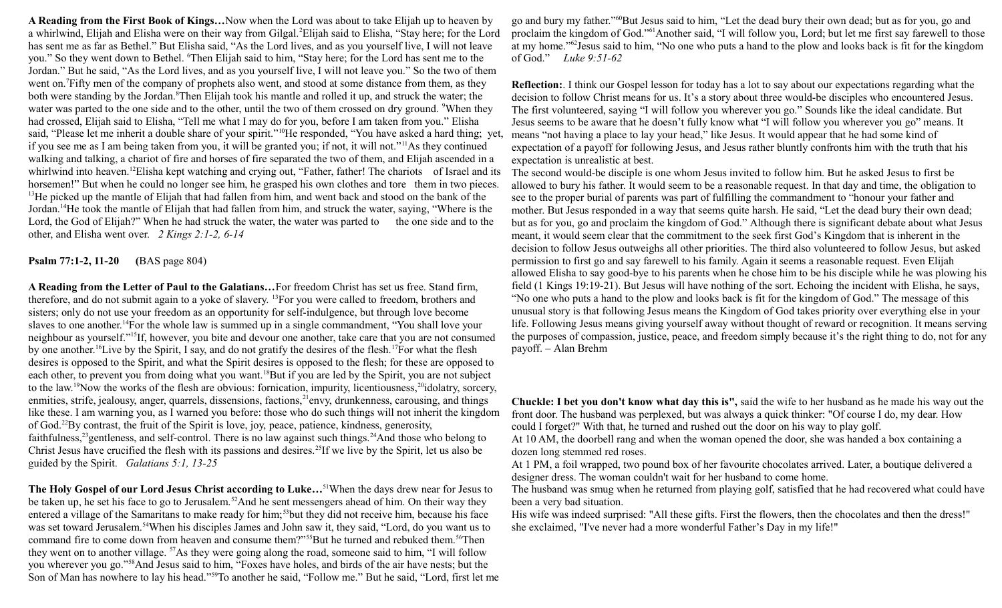**A Reading from the First Book of Kings…**Now when the Lord was about to take Elijah up to heaven by a whirlwind, Elijah and Elisha were on their way from Gilgal.<sup>2</sup>Elijah said to Elisha, "Stay here; for the Lord has sent me as far as Bethel." But Elisha said, "As the Lord lives, and as you yourself live, I will not leave you." So they went down to Bethel. <sup>6</sup>Then Elijah said to him, "Stay here; for the Lord has sent me to the Jordan." But he said, "As the Lord lives, and as you yourself live, I will not leave you." So the two of them went on.<sup>7</sup>Fifty men of the company of prophets also went, and stood at some distance from them, as they both were standing by the Jordan.<sup>8</sup>Then Elijah took his mantle and rolled it up, and struck the water; the water was parted to the one side and to the other, until the two of them crossed on dry ground. <sup>9</sup>When they had crossed, Elijah said to Elisha, "Tell me what I may do for you, before I am taken from you." Elisha said, "Please let me inherit a double share of your spirit."<sup>10</sup>He responded, "You have asked a hard thing; yet, if you see me as I am being taken from you, it will be granted you; if not, it will not."<sup>11</sup>As they continued walking and talking, a chariot of fire and horses of fire separated the two of them, and Elijah ascended in a whirlwind into heaven.<sup>12</sup>Elisha kept watching and crying out, "Father, father! The chariots of Israel and its horsemen!" But when he could no longer see him, he grasped his own clothes and tore them in two pieces. <sup>13</sup>He picked up the mantle of Elijah that had fallen from him, and went back and stood on the bank of the Jordan.<sup>14</sup>He took the mantle of Elijah that had fallen from him, and struck the water, saying, "Where is the Lord, the God of Elijah?" When he had struck the water, the water was parted to the one side and to the other, and Elisha went over. *2 Kings 2:1-2, 6-14* 

**Psalm 77:1-2, 11-20 (**BAS page 804)

**A Reading from the Letter of Paul to the Galatians…**For freedom Christ has set us free. Stand firm, therefore, and do not submit again to a yoke of slavery. <sup>13</sup>For you were called to freedom, brothers and sisters; only do not use your freedom as an opportunity for self-indulgence, but through love become slaves to one another.<sup>14</sup>For the whole law is summed up in a single commandment, "You shall love your neighbour as yourself."<sup>15</sup>If, however, you bite and devour one another, take care that you are not consumed by one another.<sup>16</sup>Live by the Spirit, I say, and do not gratify the desires of the flesh.<sup>17</sup>For what the flesh desires is opposed to the Spirit, and what the Spirit desires is opposed to the flesh; for these are opposed to each other, to prevent you from doing what you want.<sup>18</sup>But if you are led by the Spirit, you are not subject to the law.<sup>19</sup>Now the works of the flesh are obvious: fornication, impurity, licentiousness,<sup>20</sup>idolatry, sorcery, enmities, strife, jealousy, anger, quarrels, dissensions, factions, <sup>21</sup>envy, drunkenness, carousing, and things like these. I am warning you, as I warned you before: those who do such things will not inherit the kingdom of God.<sup>22</sup>By contrast, the fruit of the Spirit is love, joy, peace, patience, kindness, generosity, faithfulness,<sup>23</sup>gentleness, and self-control. There is no law against such things.<sup>24</sup>And those who belong to Christ Jesus have crucified the flesh with its passions and desires.<sup>25</sup>If we live by the Spirit, let us also be guided by the Spirit. *Galatians 5:1, 13-25*

**The Holy Gospel of our Lord Jesus Christ according to Luke…**<sup>51</sup>When the days drew near for Jesus to be taken up, he set his face to go to Jerusalem.<sup>52</sup>And he sent messengers ahead of him. On their way they entered a village of the Samaritans to make ready for him;<sup>53</sup>but they did not receive him, because his face was set toward Jerusalem.<sup>54</sup>When his disciples James and John saw it, they said, "Lord, do you want us to command fire to come down from heaven and consume them?"<sup>55</sup>But he turned and rebuked them.<sup>56</sup>Then they went on to another village. <sup>57</sup>As they were going along the road, someone said to him, "I will follow you wherever you go."<sup>58</sup>And Jesus said to him, "Foxes have holes, and birds of the air have nests; but the Son of Man has nowhere to lay his head."<sup>59</sup>To another he said, "Follow me." But he said, "Lord, first let me

go and bury my father."<sup>60</sup>But Jesus said to him, "Let the dead bury their own dead; but as for you, go and proclaim the kingdom of God."<sup>61</sup>Another said, "I will follow you, Lord; but let me first say farewell to those at my home."<sup>62</sup>Jesus said to him, "No one who puts a hand to the plow and looks back is fit for the kingdom of God." *Luke 9:51-62*

**Reflection:**. I think our Gospel lesson for today has a lot to say about our expectations regarding what the decision to follow Christ means for us. It's a story about three would-be disciples who encountered Jesus. The first volunteered, saying "I will follow you wherever you go." Sounds like the ideal candidate. But Jesus seems to be aware that he doesn't fully know what "I will follow you wherever you go" means. It means "not having a place to lay your head," like Jesus. It would appear that he had some kind of expectation of a payoff for following Jesus, and Jesus rather bluntly confronts him with the truth that his expectation is unrealistic at best.

The second would-be disciple is one whom Jesus invited to follow him. But he asked Jesus to first be allowed to bury his father. It would seem to be a reasonable request. In that day and time, the obligation to see to the proper burial of parents was part of fulfilling the commandment to "honour your father and mother. But Jesus responded in a way that seems quite harsh. He said, "Let the dead bury their own dead; but as for you, go and proclaim the kingdom of God." Although there is significant debate about what Jesus meant, it would seem clear that the commitment to the seek first God's Kingdom that is inherent in the decision to follow Jesus outweighs all other priorities. The third also volunteered to follow Jesus, but asked permission to first go and say farewell to his family. Again it seems a reasonable request. Even Elijah allowed Elisha to say good-bye to his parents when he chose him to be his disciple while he was plowing his field (1 Kings 19:19-21). But Jesus will have nothing of the sort. Echoing the incident with Elisha, he says, "No one who puts a hand to the plow and looks back is fit for the kingdom of God." The message of this unusual story is that following Jesus means the Kingdom of God takes priority over everything else in your life. Following Jesus means giving yourself away without thought of reward or recognition. It means serving the purposes of compassion, justice, peace, and freedom simply because it's the right thing to do, not for any payoff. – Alan Brehm

**Chuckle: I bet you don't know what day this is",** said the wife to her husband as he made his way out the front door. The husband was perplexed, but was always a quick thinker: "Of course I do, my dear. How could I forget?" With that, he turned and rushed out the door on his way to play golf.

At 10 AM, the doorbell rang and when the woman opened the door, she was handed a box containing a dozen long stemmed red roses.

At 1 PM, a foil wrapped, two pound box of her favourite chocolates arrived. Later, a boutique delivered a designer dress. The woman couldn't wait for her husband to come home.

The husband was smug when he returned from playing golf, satisfied that he had recovered what could have been a very bad situation.

His wife was indeed surprised: "All these gifts. First the flowers, then the chocolates and then the dress!" she exclaimed, "I've never had a more wonderful Father's Day in my life!"